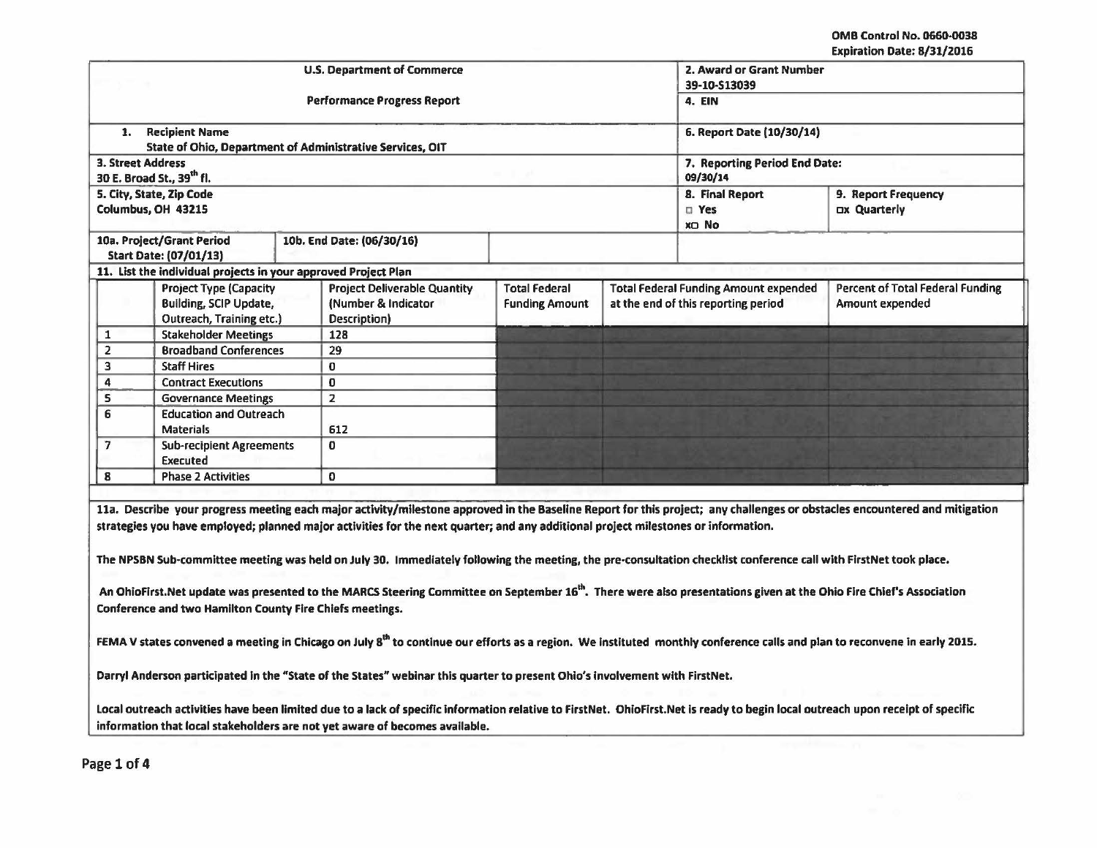OMB Control No. 0660·0038 Expiration Date: 8/31/2016

|                |                                                                                            | <b>U.S. Department of Commerce</b>                                         | 39-10-S13039                                     | 2. Award or Grant Number<br><b>4. EIN</b>                                           |                                                            |  |
|----------------|--------------------------------------------------------------------------------------------|----------------------------------------------------------------------------|--------------------------------------------------|-------------------------------------------------------------------------------------|------------------------------------------------------------|--|
|                |                                                                                            | <b>Performance Progress Report</b>                                         |                                                  |                                                                                     |                                                            |  |
| 1.             | <b>Recipient Name</b>                                                                      | State of Ohio, Department of Administrative Services, OIT                  |                                                  | 6. Report Date (10/30/14)                                                           |                                                            |  |
|                | <b>3. Street Address</b><br>30 E. Broad St., 39th fl.                                      |                                                                            | 09/30/14                                         | 7. Reporting Period End Date:                                                       |                                                            |  |
|                | 5. City, State, Zip Code<br>Columbus, OH 43215                                             |                                                                            | 8. Final Report<br>$\square$ Yes<br><b>XD No</b> | 9. Report Frequency<br>Dx Quarterly                                                 |                                                            |  |
|                | 10a. Project/Grant Period<br><b>Start Date: (07/01/13)</b>                                 | 10b. End Date: (06/30/16)                                                  |                                                  |                                                                                     |                                                            |  |
|                |                                                                                            | 11. List the individual projects in your approved Project Plan             |                                                  |                                                                                     |                                                            |  |
|                | <b>Project Type (Capacity</b><br><b>Building, SCIP Update,</b><br>Outreach, Training etc.) | <b>Project Deliverable Quantity</b><br>(Number & Indicator<br>Description) | <b>Total Federal</b><br><b>Funding Amount</b>    | <b>Total Federal Funding Amount expended</b><br>at the end of this reporting period | <b>Percent of Total Federal Funding</b><br>Amount expended |  |
| 1              | <b>Stakeholder Meetings</b>                                                                | 128                                                                        |                                                  |                                                                                     |                                                            |  |
| $\overline{2}$ | <b>Broadband Conferences</b>                                                               | 29                                                                         |                                                  |                                                                                     |                                                            |  |
| 3              | <b>Staff Hires</b>                                                                         | 0                                                                          |                                                  |                                                                                     |                                                            |  |
| 4              | <b>Contract Executions</b>                                                                 | $\mathbf 0$                                                                |                                                  |                                                                                     |                                                            |  |
| 5              | <b>Governance Meetings</b>                                                                 | $\overline{2}$                                                             |                                                  |                                                                                     |                                                            |  |
| 6              | <b>Education and Outreach</b><br><b>Materials</b>                                          | 612                                                                        |                                                  |                                                                                     |                                                            |  |
| 7              | <b>Sub-recipient Agreements</b><br>Executed                                                | $\Omega$                                                                   |                                                  |                                                                                     |                                                            |  |
|                | <b>Phase 2 Activities</b>                                                                  | 0                                                                          |                                                  |                                                                                     |                                                            |  |

The NPSBN Sub-committee meeting was held on July 30. Immediately following the meeting, the pre-consultation checklist conference call with FlrstNet took place.

An OhioFirst.Net update was presented to the MARCS Steering Committee on September 16<sup>th</sup>. There were also presentations given at the Ohio Fire Chief's Association Conference and two Hamilton County Fire Chiefs meetings.

FEMA V states convened a meeting in Chicago on July 8<sup>th</sup> to continue our efforts as a region. We instituted monthly conference calls and plan to reconvene in early 2015.

Darryl Anderson participated In the "State of the States" webinar this quarter to present Ohio's involvement with FirstNet.

Local outreach activities have been limited due to a lack of specific information relative to FirstNet. OhioFirst.Net is ready to begin local outreach upon receipt of specific information that local stakeholders are not yet aware of becomes available.

Page 1 of 4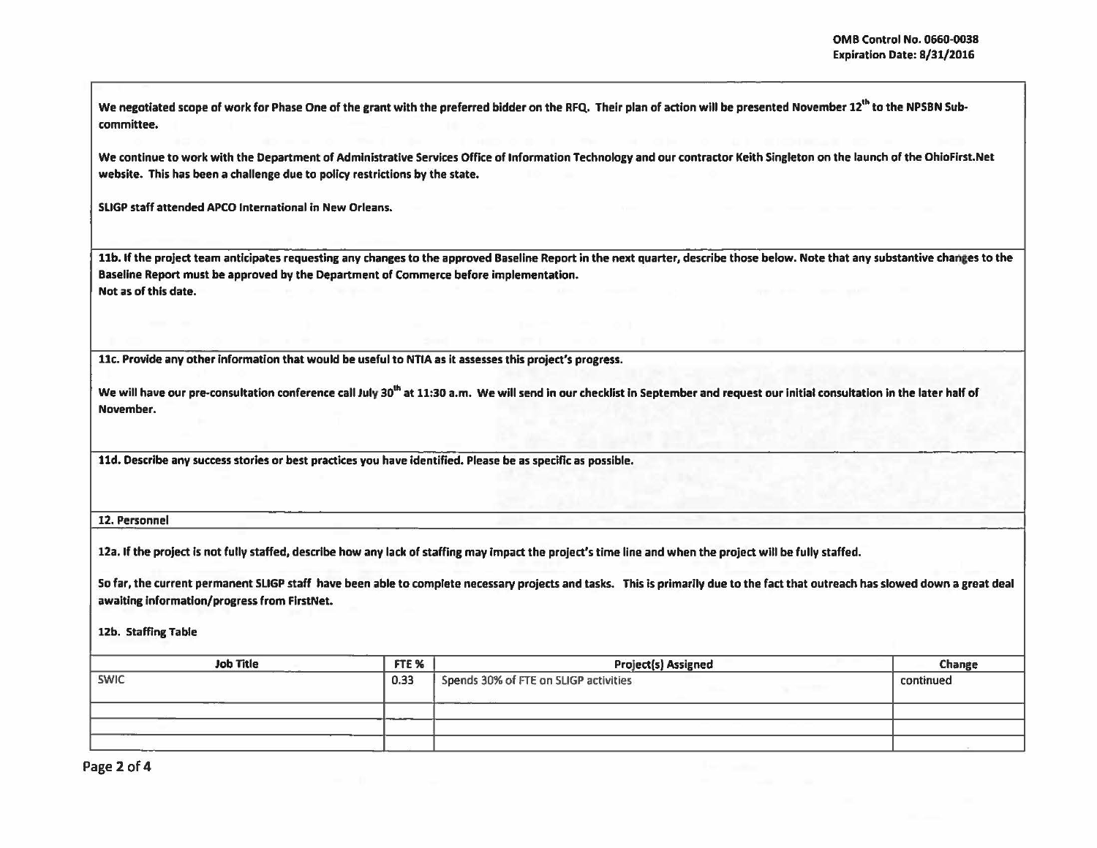I I

We negotiated scope of work for Phase One of the grant with the preferred bidder on the RFQ. Their plan of action will be presented November 12<sup>th</sup> to the NPSBN Subcommittee.

We continue to work with the Department of Administrative Services Office of Information Technology and our contractor Keith Singleton on the launch of the OhioFirst.Net website. This has been a challenge due to policy restrictions by the state.

SLIGP staff attended APCO International in New Orleans.

11b. If the project team anticipates requesting any changes to the approved Baseline Report in the next quarter, describe those below. Note that any substantive changes to the Baseline Report must be approved by the Department of Commerce before implementation. Not as of this date.

llc. Provide any other Information that would be useful to NTIA as it assesses this project's progress.

We will have our pre-consultation conference call July 30<sup>th</sup> at 11:30 a.m. We will send in our checklist in September and request our initial consultation in the later half of November.

lld. Describe any success stories or best practices you have identified. Please be as specific as possible.

12. Personnel

12a. If the project is not fully staffed, describe how any lack of staffing may impact the project's time line and when the project will be fully staffed.

So far, the current permanent SLIGP staff have been able to complete necessary projects and tasks. This is primarily due to the fact that outreach has slowed down a great deal awaiting information/progress from FirstNet.

12b. Staffing Table

| <b>Job Title</b><br>FTE <sub>%</sub><br>____ |      | <b>Project(s) Assigned</b>            | Change    |
|----------------------------------------------|------|---------------------------------------|-----------|
| <b>SWIC</b>                                  | 0.33 | Spends 30% of FTE on SLIGP activities | continued |
|                                              |      |                                       |           |
|                                              |      |                                       |           |
|                                              |      |                                       |           |

Page 2 of 4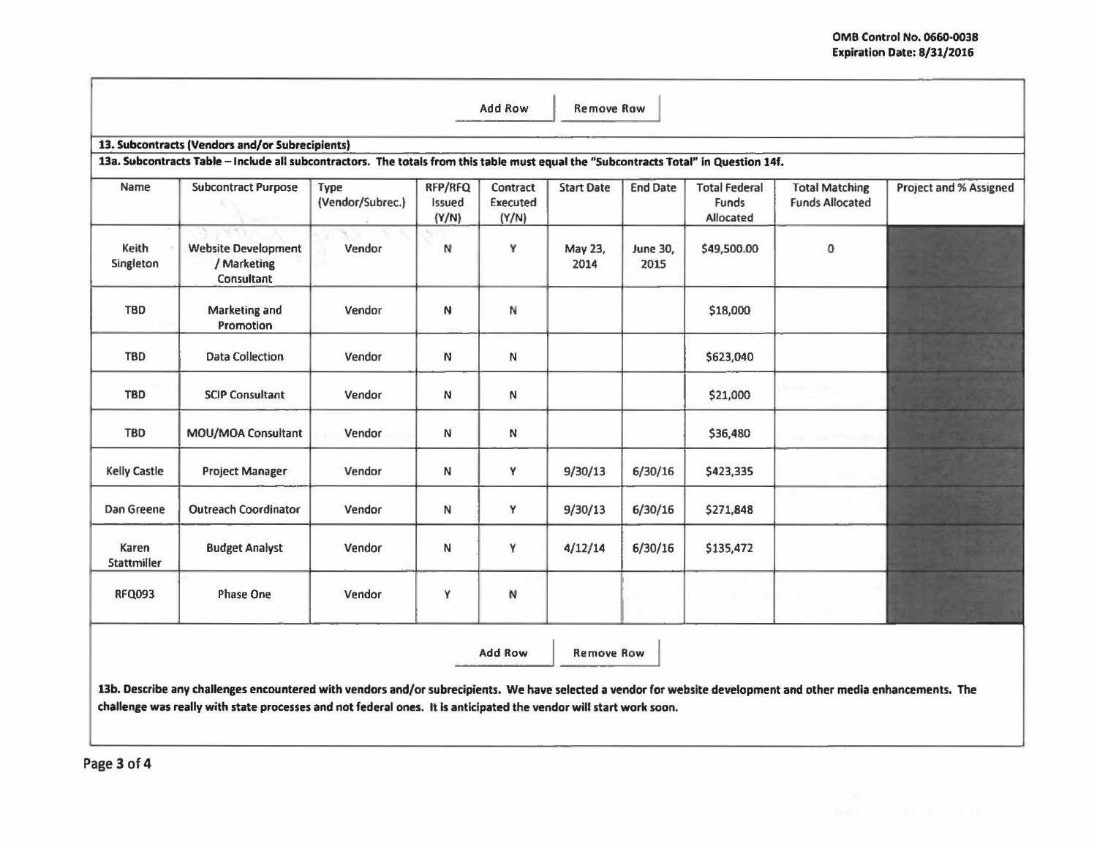|                                                                                                                                                                                                                                                                                       |                                                         |                          |                            | Add Row                       | <b>Remove Row</b> |                         |                                            |                                                 |                        |
|---------------------------------------------------------------------------------------------------------------------------------------------------------------------------------------------------------------------------------------------------------------------------------------|---------------------------------------------------------|--------------------------|----------------------------|-------------------------------|-------------------|-------------------------|--------------------------------------------|-------------------------------------------------|------------------------|
| 13. Subcontracts (Vendors and/or Subrecipients)<br>13a. Subcontracts Table - Include all subcontractors. The totals from this table must equal the "Subcontracts Total" in Question 14f.                                                                                              |                                                         |                          |                            |                               |                   |                         |                                            |                                                 |                        |
| Name                                                                                                                                                                                                                                                                                  | <b>Subcontract Purpose</b>                              | Type<br>(Vendor/Subrec.) | RFP/RFQ<br>Issued<br>(Y/N) | Contract<br>Executed<br>(Y/N) | <b>Start Date</b> | <b>End Date</b>         | <b>Total Federal</b><br>Funds<br>Allocated | <b>Total Matching</b><br><b>Funds Allocated</b> | Project and % Assigned |
| Keith<br>Singleton                                                                                                                                                                                                                                                                    | <b>Website Development</b><br>/ Marketing<br>Consultant | Vendor                   | N                          | γ                             | May 23,<br>2014   | <b>June 30,</b><br>2015 | \$49,500.00                                | 0                                               |                        |
| <b>TBD</b>                                                                                                                                                                                                                                                                            | Marketing and<br>Promotion                              | Vendor                   | N                          | N                             |                   |                         | \$18,000                                   |                                                 |                        |
| <b>TBD</b>                                                                                                                                                                                                                                                                            | <b>Data Collection</b>                                  | Vendor                   | N                          | N                             |                   |                         | \$623,040                                  |                                                 |                        |
| <b>TBD</b>                                                                                                                                                                                                                                                                            | <b>SCIP Consultant</b>                                  | Vendor                   | N                          | N                             |                   |                         | \$21,000                                   |                                                 |                        |
| <b>TBD</b>                                                                                                                                                                                                                                                                            | MOU/MOA Consultant                                      | Vendor                   | N                          | N                             |                   |                         | \$36,480                                   |                                                 |                        |
| <b>Kelly Castle</b>                                                                                                                                                                                                                                                                   | <b>Project Manager</b>                                  | Vendor                   | N                          | Y                             | 9/30/13           | 6/30/16                 | \$423,335                                  |                                                 |                        |
| Dan Greene                                                                                                                                                                                                                                                                            | <b>Outreach Coordinator</b>                             | Vendor                   | N                          | Y                             | 9/30/13           | 6/30/16                 | \$271,848                                  |                                                 |                        |
| Karen<br>Stattmiller                                                                                                                                                                                                                                                                  | <b>Budget Analyst</b>                                   | Vendor                   | N                          | Y                             | 4/12/14           | 6/30/16                 | \$135,472                                  |                                                 |                        |
| <b>RFQ093</b>                                                                                                                                                                                                                                                                         | Phase One                                               | Vendor                   | Υ                          | N                             |                   |                         |                                            |                                                 |                        |
|                                                                                                                                                                                                                                                                                       |                                                         |                          |                            | <b>Add Row</b>                | <b>Remove Row</b> |                         |                                            |                                                 |                        |
| 13b. Describe any challenges encountered with vendors and/or subrecipients. We have selected a vendor for website development and other media enhancements. The<br>challenge was really with state processes and not federal ones. It is anticipated the vendor will start work soon. |                                                         |                          |                            |                               |                   |                         |                                            |                                                 |                        |